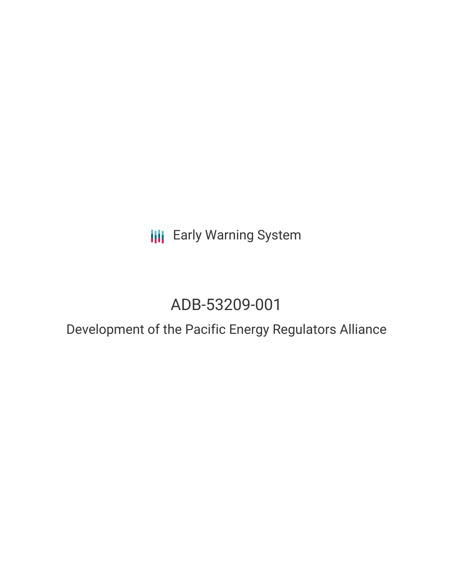**III** Early Warning System

# ADB-53209-001

## Development of the Pacific Energy Regulators Alliance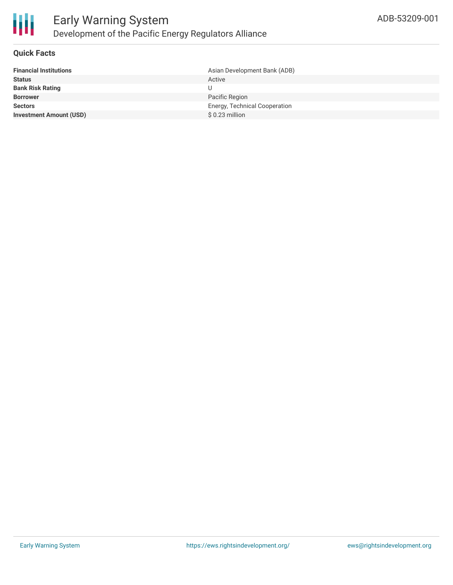

#### **Quick Facts**

| <b>Financial Institutions</b>  | Asian Development Bank (ADB)  |
|--------------------------------|-------------------------------|
| <b>Status</b>                  | Active                        |
| <b>Bank Risk Rating</b>        |                               |
| <b>Borrower</b>                | Pacific Region                |
| <b>Sectors</b>                 | Energy, Technical Cooperation |
| <b>Investment Amount (USD)</b> | \$ 0.23 million               |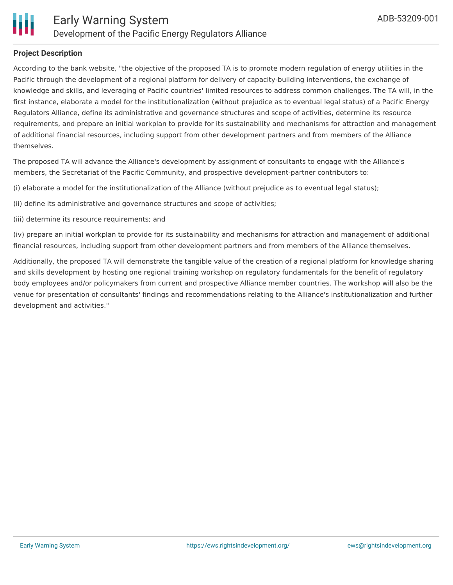

#### **Project Description**

According to the bank website, "the objective of the proposed TA is to promote modern regulation of energy utilities in the Pacific through the development of a regional platform for delivery of capacity-building interventions, the exchange of knowledge and skills, and leveraging of Pacific countries' limited resources to address common challenges. The TA will, in the first instance, elaborate a model for the institutionalization (without prejudice as to eventual legal status) of a Pacific Energy Regulators Alliance, define its administrative and governance structures and scope of activities, determine its resource requirements, and prepare an initial workplan to provide for its sustainability and mechanisms for attraction and management of additional financial resources, including support from other development partners and from members of the Alliance themselves.

The proposed TA will advance the Alliance's development by assignment of consultants to engage with the Alliance's members, the Secretariat of the Pacific Community, and prospective development-partner contributors to:

(i) elaborate a model for the institutionalization of the Alliance (without prejudice as to eventual legal status);

- (ii) define its administrative and governance structures and scope of activities;
- (iii) determine its resource requirements; and

(iv) prepare an initial workplan to provide for its sustainability and mechanisms for attraction and management of additional financial resources, including support from other development partners and from members of the Alliance themselves.

Additionally, the proposed TA will demonstrate the tangible value of the creation of a regional platform for knowledge sharing and skills development by hosting one regional training workshop on regulatory fundamentals for the benefit of regulatory body employees and/or policymakers from current and prospective Alliance member countries. The workshop will also be the venue for presentation of consultants' findings and recommendations relating to the Alliance's institutionalization and further development and activities."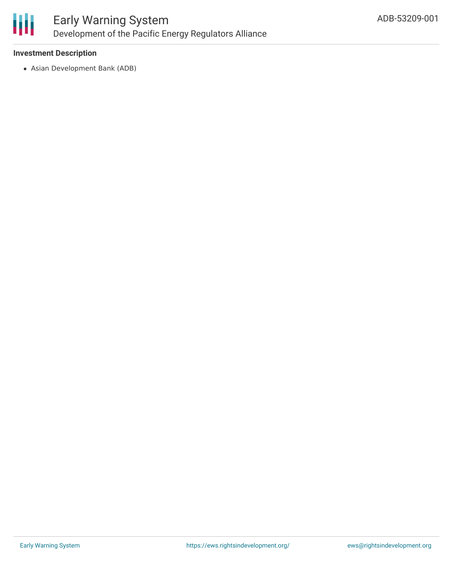

#### **Investment Description**

Asian Development Bank (ADB)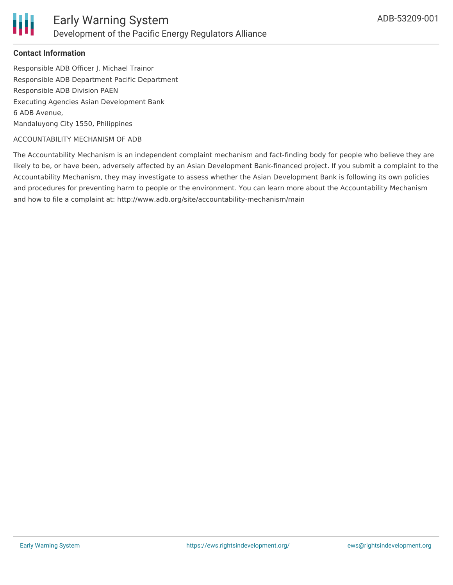

#### **Contact Information**

Responsible ADB Officer J. Michael Trainor Responsible ADB Department Pacific Department Responsible ADB Division PAEN Executing Agencies Asian Development Bank 6 ADB Avenue, Mandaluyong City 1550, Philippines

#### ACCOUNTABILITY MECHANISM OF ADB

The Accountability Mechanism is an independent complaint mechanism and fact-finding body for people who believe they are likely to be, or have been, adversely affected by an Asian Development Bank-financed project. If you submit a complaint to the Accountability Mechanism, they may investigate to assess whether the Asian Development Bank is following its own policies and procedures for preventing harm to people or the environment. You can learn more about the Accountability Mechanism and how to file a complaint at: http://www.adb.org/site/accountability-mechanism/main